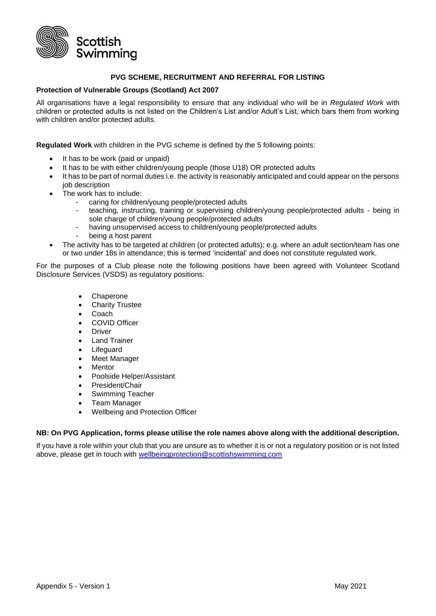

## **PVG SCHEME, RECRUITMENT AND REFERRAL FOR LISTING**

## **Protection of Vulnerable Groups (Scotland) Act 2007**

All organisations have a legal responsibility to ensure that any individual who will be in *Regulated Work* with children or protected adults is not listed on the Children's List and/or Adult's List, which bars them from working with children and/or protected adults.

**Regulated Work** with children in the PVG scheme is defined by the 5 following points:

- It has to be work (paid or unpaid)
- It has to be with either children/young people (those U18) OR protected adults
- It has to be part of normal duties i.e. the activity is reasonably anticipated and could appear on the persons job description
- The work has to include:
	- caring for children/young people/protected adults
		- teaching, instructing, training or supervising children/young people/protected adults being in sole charge of children/young people/protected adults
		- having unsupervised access to children/young people/protected adults
		- being a host parent
- The activity has to be targeted at children (or protected adults); e.g. where an adult section/team has one or two under 18s in attendance; this is termed 'incidental' and does not constitute regulated work.

For the purposes of a Club please note the following positions have been agreed with Volunteer Scotland Disclosure Services (VSDS) as regulatory positions:

- Chaperone
- **Charity Trustee**
- Coach
- COVID Officer
- Driver
- Land Trainer
- Lifeguard
- Meet Manager
- **Mentor**
- Poolside Helper/Assistant
- President/Chair
- Swimming Teacher
- Team Manager
- Wellbeing and Protection Officer

## **NB: On PVG Application, forms please utilise the role names above along with the additional description.**

If you have a role within your club that you are unsure as to whether it is or not a regulatory position or is not listed above, please get in touch with [wellbeingprotection@scottishswimming.com](mailto:wellbeingprotection@scottishswimming.com)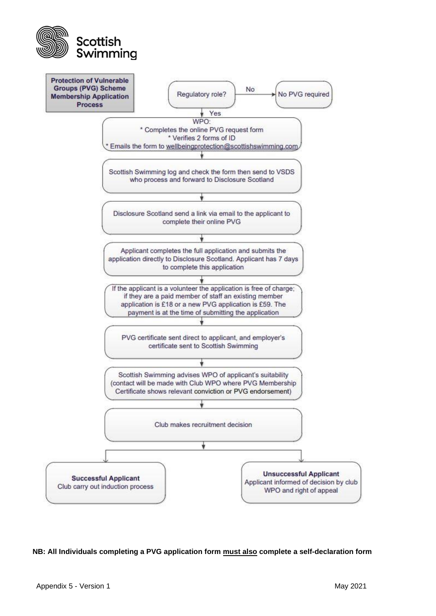



**NB: All Individuals completing a PVG application form must also complete a self-declaration form**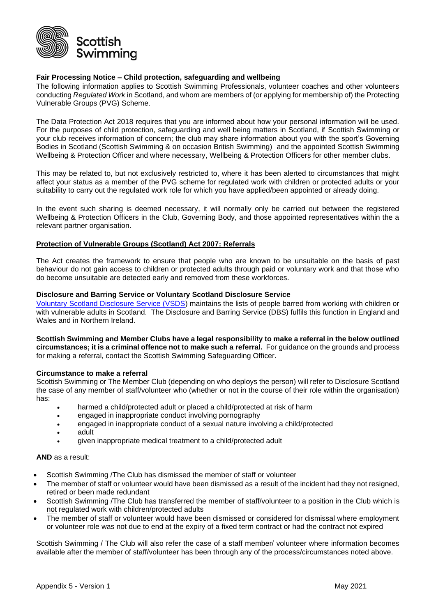

# **Fair Processing Notice – Child protection, safeguarding and wellbeing**

The following information applies to Scottish Swimming Professionals, volunteer coaches and other volunteers conducting *Regulated Work* in Scotland, and whom are members of (or applying for membership of) the Protecting Vulnerable Groups (PVG) Scheme.

The Data Protection Act 2018 requires that you are informed about how your personal information will be used. For the purposes of child protection, safeguarding and well being matters in Scotland, if Scottish Swimming or your club receives information of concern; the club may share information about you with the sport's Governing Bodies in Scotland (Scottish Swimming & on occasion British Swimming) and the appointed Scottish Swimming Wellbeing & Protection Officer and where necessary, Wellbeing & Protection Officers for other member clubs.

This may be related to, but not exclusively restricted to, where it has been alerted to circumstances that might affect your status as a member of the PVG scheme for regulated work with children or protected adults or your suitability to carry out the regulated work role for which you have applied/been appointed or already doing.

In the event such sharing is deemed necessary, it will normally only be carried out between the registered Wellbeing & Protection Officers in the Club, Governing Body, and those appointed representatives within the a relevant partner organisation.

## **Protection of Vulnerable Groups (Scotland) Act 2007: Referrals**

The Act creates the framework to ensure that people who are known to be unsuitable on the basis of past behaviour do not gain access to children or protected adults through paid or voluntary work and that those who do become unsuitable are detected early and removed from these workforces.

## **Disclosure and Barring Service or Voluntary Scotland Disclosure Service**

[Voluntary Scotland Disclosure Service \(VSDS\)](https://www.volunteerscotland.net/) maintains the lists of people barred from working with children or with vulnerable adults in Scotland. The Disclosure and Barring Service (DBS) fulfils this function in England and Wales and in Northern Ireland.

**Scottish Swimming and Member Clubs have a legal responsibility to make a referral in the below outlined circumstances; it is a criminal offence not to make such a referral.** For guidance on the grounds and process for making a referral, contact the Scottish Swimming Safeguarding Officer.

## **Circumstance to make a referral**

Scottish Swimming or The Member Club (depending on who deploys the person) will refer to Disclosure Scotland the case of any member of staff/volunteer who (whether or not in the course of their role within the organisation) has:

- harmed a child/protected adult or placed a child/protected at risk of harm
	- engaged in inappropriate conduct involving pornography
	- engaged in inappropriate conduct of a sexual nature involving a child/protected
	- adult
	- given inappropriate medical treatment to a child/protected adult

#### **AND** as a result:

- Scottish Swimming /The Club has dismissed the member of staff or volunteer
- The member of staff or volunteer would have been dismissed as a result of the incident had they not resigned, retired or been made redundant
- Scottish Swimming /The Club has transferred the member of staff/volunteer to a position in the Club which is not regulated work with children/protected adults
- The member of staff or volunteer would have been dismissed or considered for dismissal where employment or volunteer role was not due to end at the expiry of a fixed term contract or had the contract not expired

Scottish Swimming / The Club will also refer the case of a staff member/ volunteer where information becomes available after the member of staff/volunteer has been through any of the process/circumstances noted above.